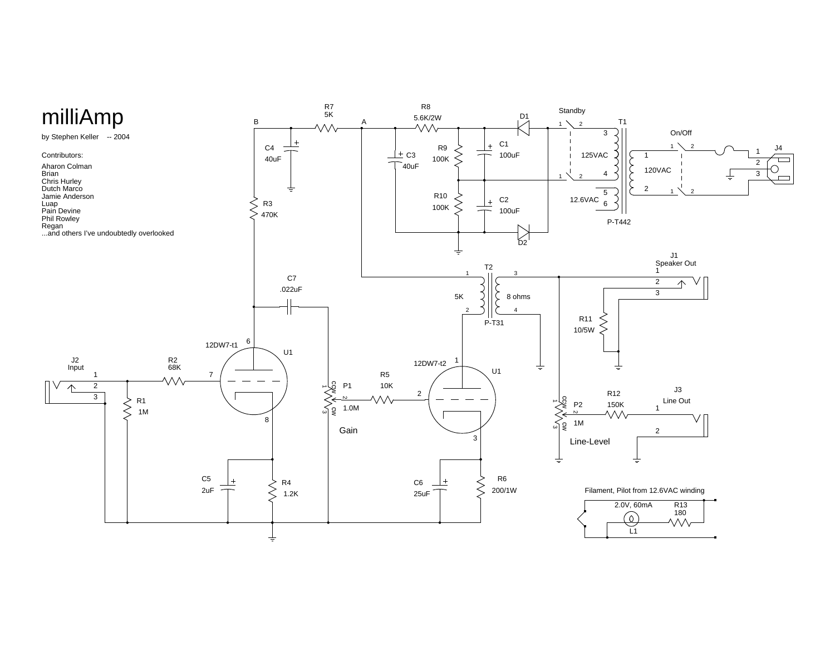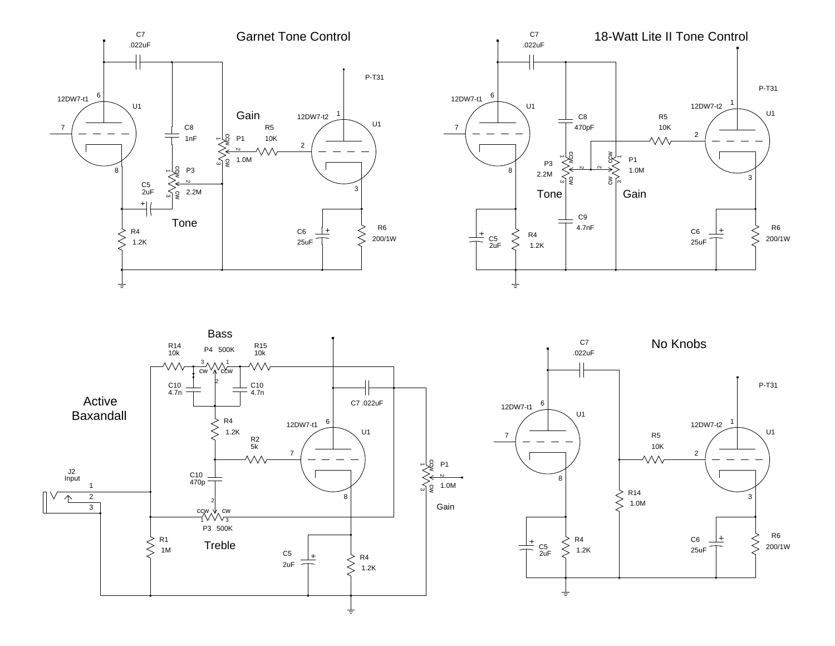